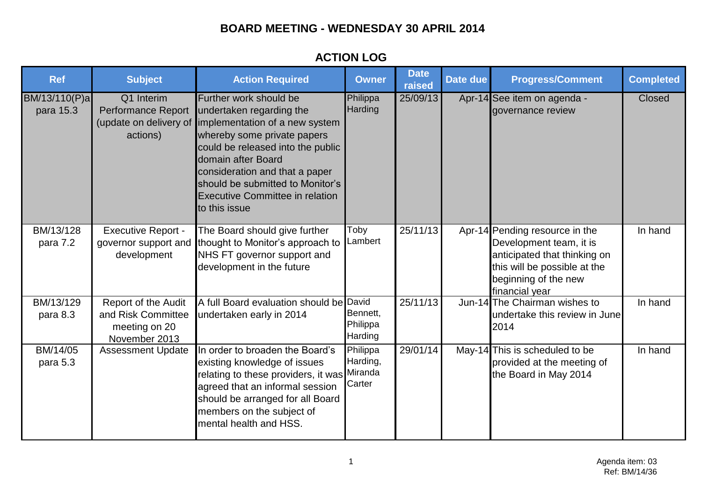# **BOARD MEETING - WEDNESDAY 30 APRIL 2014**

## **ACTION LOG**

| <b>Ref</b>                 | <b>Subject</b>                                                                     | <b>Action Required</b>                                                                                                                                                                                                                                                                                                                  | <b>Owner</b>                    | <b>Date</b><br>raised | Date due | <b>Progress/Comment</b>                                                                                                                                             | <b>Completed</b> |
|----------------------------|------------------------------------------------------------------------------------|-----------------------------------------------------------------------------------------------------------------------------------------------------------------------------------------------------------------------------------------------------------------------------------------------------------------------------------------|---------------------------------|-----------------------|----------|---------------------------------------------------------------------------------------------------------------------------------------------------------------------|------------------|
| BM/13/110(P)a<br>para 15.3 | Q1 Interim<br><b>Performance Report</b><br>actions)                                | Further work should be<br>undertaken regarding the<br>(update on delivery of limplementation of a new system<br>whereby some private papers<br>could be released into the public<br>domain after Board<br>consideration and that a paper<br>should be submitted to Monitor's<br><b>Executive Committee in relation</b><br>to this issue | Philippa<br>Harding             | 25/09/13              |          | Apr-14 See item on agenda -<br>governance review                                                                                                                    | Closed           |
| BM/13/128<br>para 7.2      | <b>Executive Report -</b><br>governor support and<br>development                   | The Board should give further<br>thought to Monitor's approach to<br>NHS FT governor support and<br>development in the future                                                                                                                                                                                                           | Toby<br>Lambert                 | 25/11/13              |          | Apr-14 Pending resource in the<br>Development team, it is<br>anticipated that thinking on<br>this will be possible at the<br>beginning of the new<br>financial year | In hand          |
| BM/13/129<br>para 8.3      | <b>Report of the Audit</b><br>and Risk Committee<br>meeting on 20<br>November 2013 | A full Board evaluation should be David<br>undertaken early in 2014                                                                                                                                                                                                                                                                     | Bennett,<br>Philippa<br>Harding | 25/11/13              |          | Jun-14 The Chairman wishes to<br>undertake this review in June<br>2014                                                                                              | In hand          |
| BM/14/05<br>para 5.3       | <b>Assessment Update</b>                                                           | In order to broaden the Board's<br>existing knowledge of issues<br>relating to these providers, it was Miranda<br>agreed that an informal session<br>should be arranged for all Board<br>members on the subject of<br>mental health and HSS.                                                                                            | Philippa<br>Harding,<br>Carter  | 29/01/14              |          | May-14 This is scheduled to be<br>provided at the meeting of<br>the Board in May 2014                                                                               | In hand          |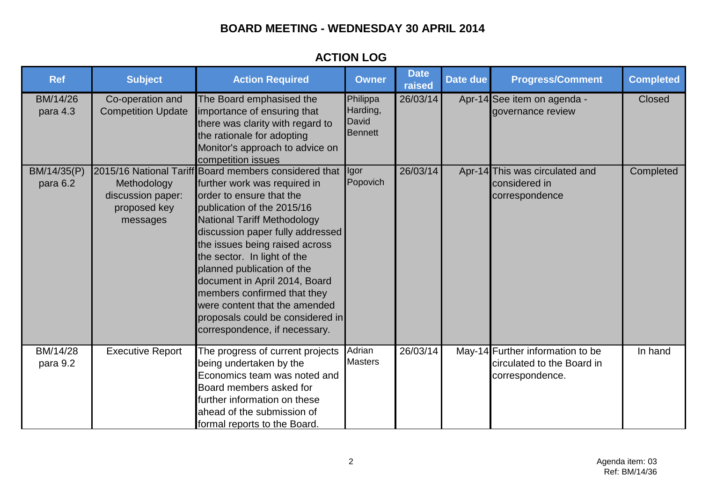# **BOARD MEETING - WEDNESDAY 30 APRIL 2014**

## **ACTION LOG**

| <b>Ref</b>              | <b>Subject</b>                                               | <b>Action Required</b>                                                                                                                                                                                                                                                                                                                                                                                                                                                                         | <b>Owner</b>                                    | <b>Date</b><br>raised | Date due | <b>Progress/Comment</b>                                                           | <b>Completed</b> |
|-------------------------|--------------------------------------------------------------|------------------------------------------------------------------------------------------------------------------------------------------------------------------------------------------------------------------------------------------------------------------------------------------------------------------------------------------------------------------------------------------------------------------------------------------------------------------------------------------------|-------------------------------------------------|-----------------------|----------|-----------------------------------------------------------------------------------|------------------|
| BM/14/26<br>para 4.3    | Co-operation and<br><b>Competition Update</b>                | The Board emphasised the<br>importance of ensuring that<br>there was clarity with regard to<br>the rationale for adopting<br>Monitor's approach to advice on<br>competition issues                                                                                                                                                                                                                                                                                                             | Philippa<br>Harding,<br>David<br><b>Bennett</b> | 26/03/14              |          | Apr-14 See item on agenda -<br>governance review                                  | <b>Closed</b>    |
| BM/14/35(P)<br>para 6.2 | Methodology<br>discussion paper:<br>proposed key<br>messages | 2015/16 National Tariff Board members considered that<br>further work was required in<br>order to ensure that the<br>publication of the 2015/16<br><b>National Tariff Methodology</b><br>discussion paper fully addressed<br>the issues being raised across<br>the sector. In light of the<br>planned publication of the<br>document in April 2014, Board<br>members confirmed that they<br>were content that the amended<br>proposals could be considered in<br>correspondence, if necessary. | Igor<br>Popovich                                | 26/03/14              |          | Apr-14 This was circulated and<br>considered in<br>correspondence                 | Completed        |
| BM/14/28<br>para 9.2    | <b>Executive Report</b>                                      | The progress of current projects<br>being undertaken by the<br>Economics team was noted and<br>Board members asked for<br>further information on these<br>ahead of the submission of<br>formal reports to the Board.                                                                                                                                                                                                                                                                           | Adrian<br><b>Masters</b>                        | 26/03/14              |          | May-14 Further information to be<br>circulated to the Board in<br>correspondence. | In hand          |